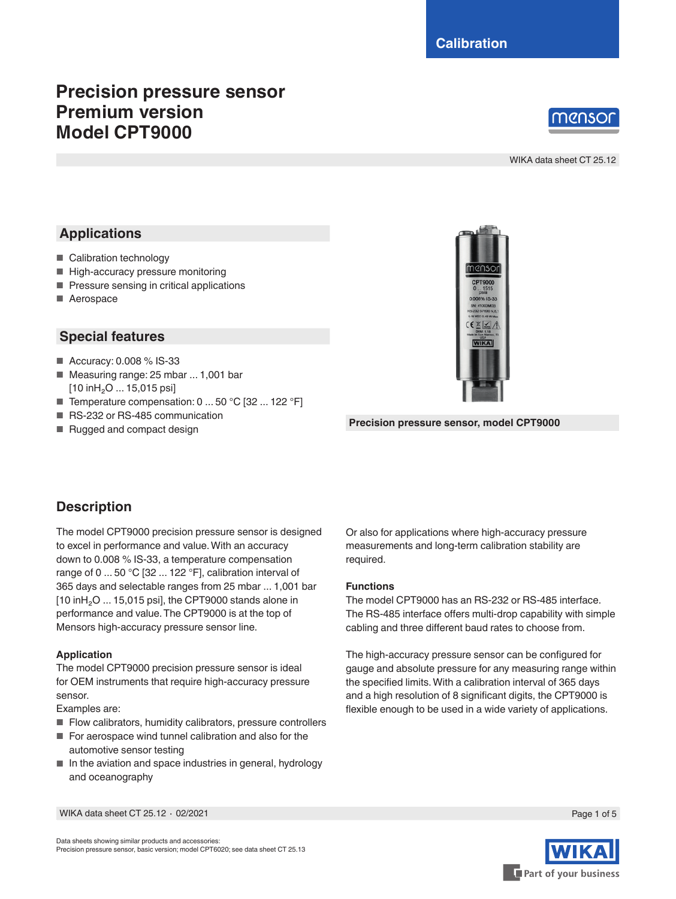# **Precision pressure sensor Premium version Model CPT9000**



WIKA data sheet CT 25.12

# **Applications**

- Calibration technology
- High-accuracy pressure monitoring
- Pressure sensing in critical applications
- Aerospace

## **Special features**

- Accuracy: 0.008 % IS-33
- Measuring range: 25 mbar ... 1,001 bar [10 inH<sub>2</sub>O ... 15,015 psi]
- Temperature compensation: 0 ... 50 °C [32 ... 122 °F]
- RS-232 or RS-485 communication
- Rugged and compact design



**Precision pressure sensor, model CPT9000**

# **Description**

The model CPT9000 precision pressure sensor is designed to excel in performance and value. With an accuracy down to 0.008 % IS-33, a temperature compensation range of 0 ... 50 °C [32 ... 122 °F], calibration interval of 365 days and selectable ranges from 25 mbar ... 1,001 bar  $[10 \text{ in } H_2O \dots 15,015 \text{ psi}]$ , the CPT9000 stands alone in performance and value. The CPT9000 is at the top of Mensors high-accuracy pressure sensor line.

### **Application**

The model CPT9000 precision pressure sensor is ideal for OEM instruments that require high-accuracy pressure sensor.

Examples are:

- Flow calibrators, humidity calibrators, pressure controllers
- For aerospace wind tunnel calibration and also for the automotive sensor testing
- $\blacksquare$  In the aviation and space industries in general, hydrology and oceanography

Or also for applications where high-accuracy pressure measurements and long-term calibration stability are required.

#### **Functions**

The model CPT9000 has an RS-232 or RS-485 interface. The RS-485 interface offers multi-drop capability with simple cabling and three different baud rates to choose from.

The high-accuracy pressure sensor can be configured for gauge and absolute pressure for any measuring range within the specified limits. With a calibration interval of 365 days and a high resolution of 8 significant digits, the CPT9000 is flexible enough to be used in a wide variety of applications.

WIKA data sheet CT 25.12 ⋅ 02/2021 Page 1 of 5

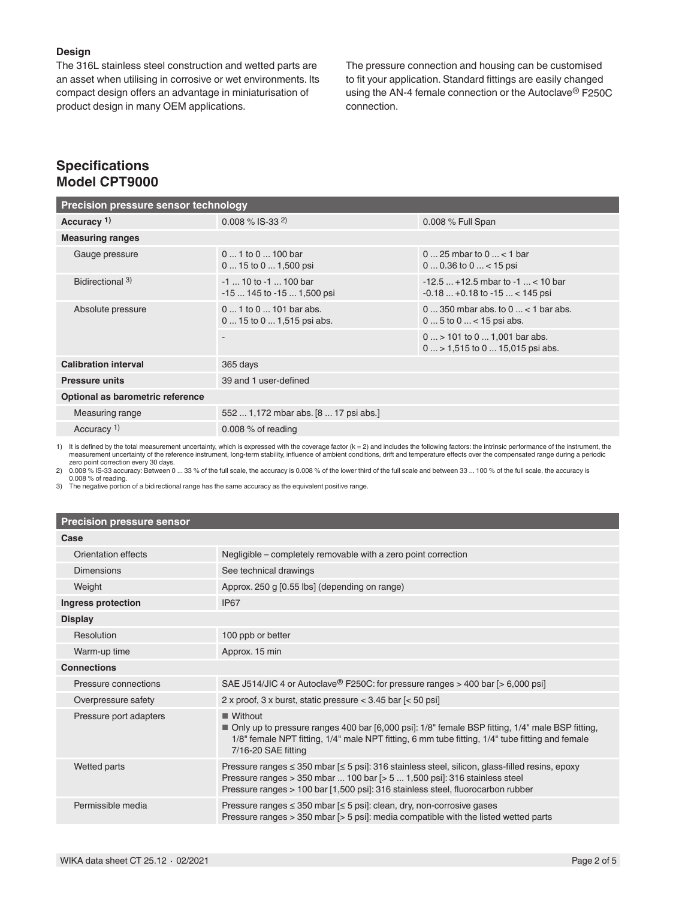#### **Design**

The 316L stainless steel construction and wetted parts are an asset when utilising in corrosive or wet environments. Its compact design offers an advantage in miniaturisation of product design in many OEM applications.

The pressure connection and housing can be customised to fit your application. Standard fittings are easily changed using the AN-4 female connection or the Autoclave® F250C connection.

## **Specifications Model CPT9000**

| Precision pressure sensor technology |                                                       |                                                                                               |  |  |
|--------------------------------------|-------------------------------------------------------|-----------------------------------------------------------------------------------------------|--|--|
| Accuracy <sup>1)</sup>               | $0.008\%$ IS-33 <sup>2)</sup>                         | 0.008 % Full Span                                                                             |  |  |
| <b>Measuring ranges</b>              |                                                       |                                                                                               |  |  |
| Gauge pressure                       | $01$ to $0100$ bar<br>$015$ to $01,500$ psi           | $025$ mbar to $0 < 1$ bar<br>$00.36$ to $0$ < 15 psi                                          |  |  |
| Bidirectional 3)                     | $-1$ 10 to $-1$ 100 bar<br>$-15145$ to $-151,500$ psi | $-12.5+12.5$ mbar to $-1$ < 10 bar<br>$-0.18+0.18$ to $-15$ < 145 psi                         |  |  |
| Absolute pressure                    | $01$ to $0101$ bar abs.<br>$015$ to $01,515$ psi abs. | $0350$ mbar abs. to $0 < 1$ bar abs.<br>$05$ to $0 < 15$ psi abs.                             |  |  |
|                                      |                                                       | $0 \dots$ > 101 to 0 $\dots$ 1,001 bar abs.<br>$0 \dots$ > 1,515 to 0 $\dots$ 15,015 psi abs. |  |  |
| <b>Calibration interval</b>          | 365 days                                              |                                                                                               |  |  |
| <b>Pressure units</b>                | 39 and 1 user-defined                                 |                                                                                               |  |  |
| Optional as barometric reference     |                                                       |                                                                                               |  |  |
| Measuring range                      | 552  1,172 mbar abs. [8  17 psi abs.]                 |                                                                                               |  |  |
| Accuracy <sup>1)</sup>               | 0.008 $%$ of reading                                  |                                                                                               |  |  |

1) It is defined by the total measurement uncertainty, which is expressed with the coverage factor (k = 2) and includes the following factors: the intrinsic performance of the instrument, the measurement uncertainty of the reference instrument, long-term stability, influence of ambient conditions, drift and temperature effects over the compensated range during a periodic<br>zero point correction every 30 days.<br>2)

0.008 % of reading. 3) The negative portion of a bidirectional range has the same accuracy as the equivalent positive range.

### **Precision pressure sensor**

| Case                   |                                                                                                                                                                                                                                                                                   |
|------------------------|-----------------------------------------------------------------------------------------------------------------------------------------------------------------------------------------------------------------------------------------------------------------------------------|
| Orientation effects    | Negligible – completely removable with a zero point correction                                                                                                                                                                                                                    |
| <b>Dimensions</b>      | See technical drawings                                                                                                                                                                                                                                                            |
| Weight                 | Approx. 250 g [0.55 lbs] (depending on range)                                                                                                                                                                                                                                     |
| Ingress protection     | IP <sub>67</sub>                                                                                                                                                                                                                                                                  |
| <b>Display</b>         |                                                                                                                                                                                                                                                                                   |
| Resolution             | 100 ppb or better                                                                                                                                                                                                                                                                 |
| Warm-up time           | Approx. 15 min                                                                                                                                                                                                                                                                    |
| <b>Connections</b>     |                                                                                                                                                                                                                                                                                   |
| Pressure connections   | SAE J514/JIC 4 or Autoclave <sup>®</sup> F250C: for pressure ranges > 400 bar [> 6,000 psi]                                                                                                                                                                                       |
| Overpressure safety    | 2 x proof, 3 x burst, static pressure $<$ 3.45 bar $\left[$ < 50 psi]                                                                                                                                                                                                             |
| Pressure port adapters | $\blacksquare$ Without<br>■ Only up to pressure ranges 400 bar [6,000 psi]: 1/8" female BSP fitting, 1/4" male BSP fitting,<br>1/8" female NPT fitting, 1/4" male NPT fitting, 6 mm tube fitting, 1/4" tube fitting and female<br>7/16-20 SAE fitting                             |
| Wetted parts           | Pressure ranges $\leq$ 350 mbar $\leq$ 5 psi]: 316 stainless steel, silicon, glass-filled resins, epoxy<br>Pressure ranges $>$ 350 mbar  100 bar $\lceil$ > 5  1,500 psi]: 316 stainless steel<br>Pressure ranges > 100 bar [1,500 psi]: 316 stainless steel, fluorocarbon rubber |
| Permissible media      | Pressure ranges $\leq$ 350 mbar $\leq$ 5 psi]: clean, dry, non-corrosive gases<br>Pressure ranges $>$ 350 mbar $\lceil$ > 5 psi]: media compatible with the listed wetted parts                                                                                                   |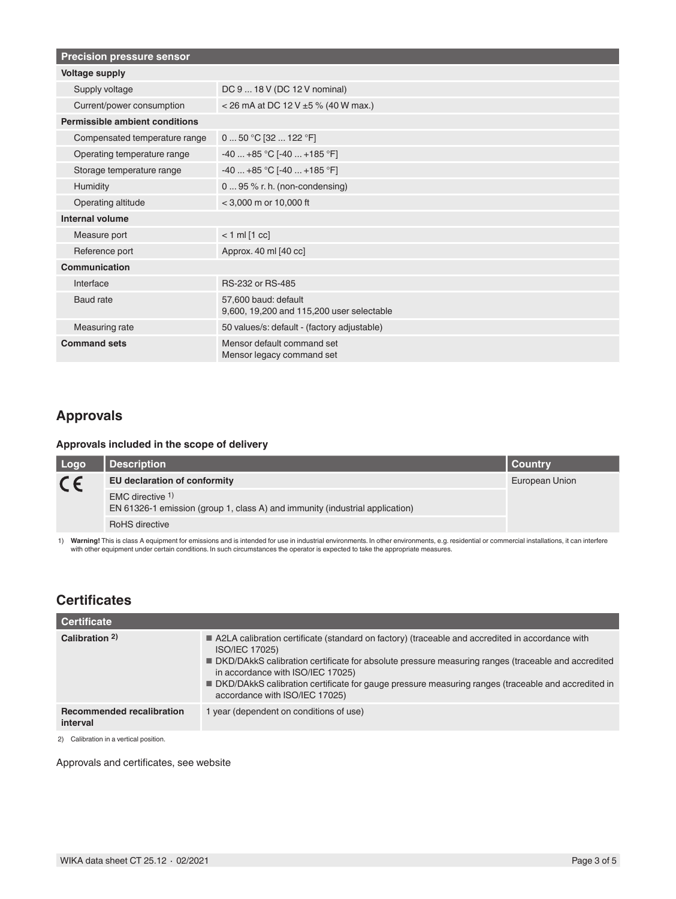| <b>Precision pressure sensor</b> |                                                                   |  |  |
|----------------------------------|-------------------------------------------------------------------|--|--|
| <b>Voltage supply</b>            |                                                                   |  |  |
| Supply voltage                   | DC 9  18 V (DC 12 V nominal)                                      |  |  |
| Current/power consumption        | < 26 mA at DC 12 V $\pm$ 5 % (40 W max.)                          |  |  |
| Permissible ambient conditions   |                                                                   |  |  |
| Compensated temperature range    | 0  50 °C [32  122 °F]                                             |  |  |
| Operating temperature range      | $-40+85$ °C [ $-40+185$ °F]                                       |  |  |
| Storage temperature range        | $-40+85 °C[-40+185 °F]$                                           |  |  |
| Humidity                         | 0  95 % r. h. (non-condensing)                                    |  |  |
| Operating altitude               | $<$ 3,000 m or 10,000 ft                                          |  |  |
| Internal volume                  |                                                                   |  |  |
| Measure port                     | $< 1$ ml $[1$ cc]                                                 |  |  |
| Reference port                   | Approx. 40 ml [40 cc]                                             |  |  |
| Communication                    |                                                                   |  |  |
| Interface                        | RS-232 or RS-485                                                  |  |  |
| Baud rate                        | 57.600 baud: default<br>9,600, 19,200 and 115,200 user selectable |  |  |
| Measuring rate                   | 50 values/s: default - (factory adjustable)                       |  |  |
| <b>Command sets</b>              | Mensor default command set<br>Mensor legacy command set           |  |  |

# **Approvals**

### **Approvals included in the scope of delivery**

| Logo    | <b>Description</b>                                                                               | I Countrv      |
|---------|--------------------------------------------------------------------------------------------------|----------------|
| $C \in$ | EU declaration of conformity                                                                     | European Union |
|         | EMC directive 1)<br>EN 61326-1 emission (group 1, class A) and immunity (industrial application) |                |
|         | <b>RoHS</b> directive                                                                            |                |

1) Warning! This is class A equipment for emissions and is intended for use in industrial environments. In other environments, e.g. residential or commercial installations, it can interfere<br>with other equipment under certa

# **Certificates**

| Certificate                                  |                                                                                                                                                                                                                                                                                                                                                                                                        |
|----------------------------------------------|--------------------------------------------------------------------------------------------------------------------------------------------------------------------------------------------------------------------------------------------------------------------------------------------------------------------------------------------------------------------------------------------------------|
| Calibration 2)                               | A2LA calibration certificate (standard on factory) (traceable and accredited in accordance with<br>ISO/IEC 17025)<br>DKD/DAkkS calibration certificate for absolute pressure measuring ranges (traceable and accredited<br>in accordance with ISO/IEC 17025)<br>■ DKD/DAkkS calibration certificate for gauge pressure measuring ranges (traceable and accredited in<br>accordance with ISO/IEC 17025) |
| <b>Recommended recalibration</b><br>interval | 1 year (dependent on conditions of use)                                                                                                                                                                                                                                                                                                                                                                |
| 2) Calibration in a vertical position.       |                                                                                                                                                                                                                                                                                                                                                                                                        |

Approvals and certificates, see website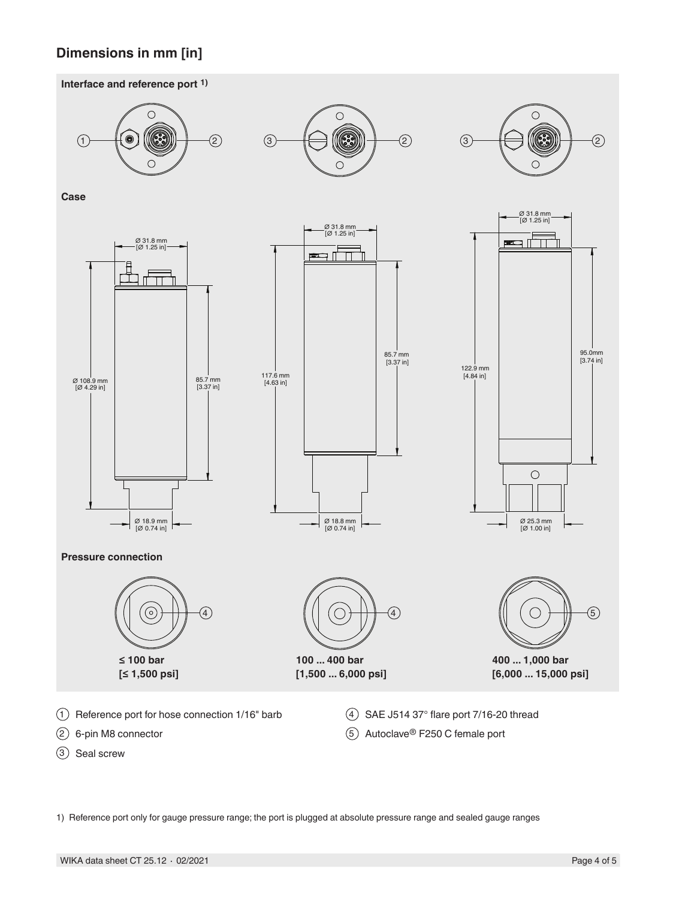# **Dimensions in mm [in]**





1) Reference port only for gauge pressure range; the port is plugged at absolute pressure range and sealed gauge ranges

3 Seal screw